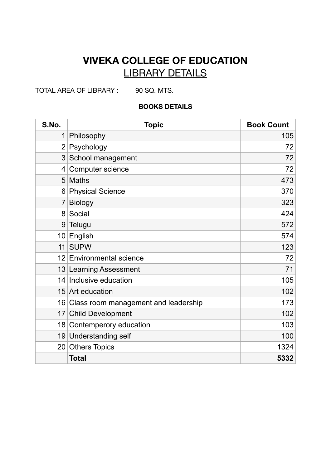## **VIVEKA COLLEGE OF EDUCATION**  LIBRARY DETAILS

TOTAL AREA OF LIBRARY : 90 SQ. MTS.

## **BOOKS DETAILS**

| S.No.          | <b>Topic</b>                            | <b>Book Count</b> |
|----------------|-----------------------------------------|-------------------|
| $\mathbf 1$    | Philosophy                              | 105               |
| $\overline{2}$ | Psychology                              | 72                |
|                | 3 School management                     | 72                |
| 4              | <b>Computer science</b>                 | 72                |
|                | 5 Maths                                 | 473               |
| 6              | <b>Physical Science</b>                 | 370               |
| 7              | <b>Biology</b>                          | 323               |
|                | 8 Social                                | 424               |
| 9              | Telugu                                  | 572               |
|                | 10 English                              | 574               |
| 11             | <b>SUPW</b>                             | 123               |
|                | 12 Environmental science                | 72                |
|                | 13 Learning Assessment                  | 71                |
|                | 14 Inclusive education                  | 105               |
|                | 15 Art education                        | 102               |
|                | 16 Class room management and leadership | 173               |
| 17             | <b>Child Development</b>                | 102               |
|                | 18 Contemperory education               | 103               |
|                | 19 Understanding self                   | 100               |
|                | 20 Others Topics                        | 1324              |
|                | <b>Total</b>                            | 5332              |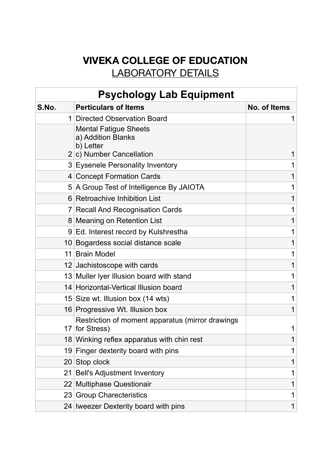## **VIVEKA COLLEGE OF EDUCATION**  LABORATORY DETAILS

| <b>Psychology Lab Equipment</b> |                                                                    |              |
|---------------------------------|--------------------------------------------------------------------|--------------|
| S.No.                           | <b>Perticulars of Items</b>                                        | No. of Items |
|                                 | 1 Directed Observation Board                                       |              |
|                                 | <b>Mental Fatigue Sheets</b><br>a) Addition Blanks<br>b) Letter    |              |
|                                 | $2 c $ Number Cancellation                                         |              |
|                                 | 3 Eysenele Personality Inventory                                   |              |
|                                 | 4 Concept Formation Cards                                          |              |
|                                 | 5 A Group Test of Intelligence By JAIOTA                           |              |
|                                 | 6 Retroachive Inhibition List                                      |              |
|                                 | 7 Recall And Recognisation Cards                                   |              |
|                                 | 8 Meaning on Retention List                                        |              |
|                                 | 9 Ed. Interest record by Kulshrestha                               |              |
|                                 | 10 Bogardess social distance scale                                 |              |
|                                 | 11 Brain Model                                                     |              |
|                                 | 12 Jachistoscope with cards                                        |              |
|                                 | 13 Muller Iyer Illusion board with stand                           |              |
|                                 | 14 Horizontal-Vertical Illusion board                              |              |
|                                 | 15 Size wt. Illusion box (14 wts)                                  |              |
|                                 | 16 Progressive Wt. Illusion box                                    |              |
|                                 | Restriction of moment apparatus (mirror drawings<br>17 for Stress) |              |
|                                 | 18 Winking reflex apparatus with chin rest                         |              |
|                                 | 19 Finger dexterity board with pins                                |              |
|                                 | 20 Stop clock                                                      |              |
| 21                              | <b>Bell's Adjustment Inventory</b>                                 |              |
|                                 | 22 Multiphase Questionair                                          |              |
|                                 | 23 Group Charecteristics                                           |              |
|                                 | 24 Iweezer Dexterity board with pins                               | 1            |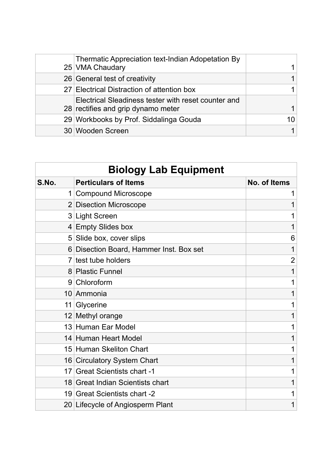| Thermatic Appreciation text-Indian Adopetation By<br>25 VMA Chaudary                      |  |
|-------------------------------------------------------------------------------------------|--|
| 26 General test of creativity                                                             |  |
| 27 Electrical Distraction of attention box                                                |  |
| Electrical Sleadiness tester with reset counter and<br>28 rectifies and grip dynamo meter |  |
| 29 Workbooks by Prof. Siddalinga Gouda                                                    |  |
| 30 Wooden Screen                                                                          |  |

| <b>Biology Lab Equipment</b> |                                         |                |
|------------------------------|-----------------------------------------|----------------|
| S.No.                        | <b>Perticulars of Items</b>             | No. of Items   |
| 1                            | <b>Compound Microscope</b>              | 1              |
|                              | 2 Disection Microscope                  | 1              |
|                              | 3 Light Screen                          |                |
|                              | 4 Empty Slides box                      | 1              |
| 5                            | Slide box, cover slips                  | 6              |
|                              | 6 Disection Board, Hammer Inst. Box set | 1              |
| $\overline{7}$               | test tube holders                       | $\overline{2}$ |
| 8 <sup>1</sup>               | <b>Plastic Funnel</b>                   | 1              |
| 9                            | Chloroform                              | 1              |
|                              | 10 Ammonia                              | 1              |
| 11                           | Glycerine                               | 1              |
|                              | 12 Methyl orange                        | 1              |
|                              | 13 Human Ear Model                      | 1              |
|                              | 14 Human Heart Model                    | 1              |
|                              | 15 Human Skeliton Chart                 | 1              |
|                              | 16 Circulatory System Chart             | 1              |
| 17                           | <b>Great Scientists chart -1</b>        | 1              |
|                              | 18 Great Indian Scientists chart        | 1              |
|                              | 19 Great Scientists chart -2            | 1              |
|                              | 20 Lifecycle of Angiosperm Plant        | 1              |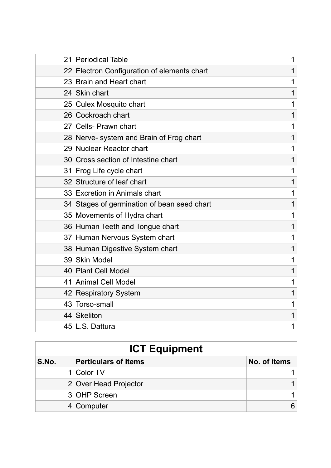| 21 | <b>Periodical Table</b>                     | 1 |
|----|---------------------------------------------|---|
|    | 22 Electron Configuration of elements chart | 1 |
|    | 23 Brain and Heart chart                    | 1 |
|    | 24 Skin chart                               | 1 |
|    | 25 Culex Mosquito chart                     | 1 |
|    | 26 Cockroach chart                          | 1 |
|    | 27 Cells- Prawn chart                       | 1 |
|    | 28 Nerve- system and Brain of Frog chart    | 1 |
|    | 29 Nuclear Reactor chart                    | 1 |
|    | 30 Cross section of Intestine chart         | 1 |
|    | 31 Frog Life cycle chart                    | 1 |
|    | 32 Structure of leaf chart                  | 1 |
|    | 33 Excretion in Animals chart               | 1 |
|    | 34 Stages of germination of bean seed chart | 1 |
|    | 35 Movements of Hydra chart                 | 1 |
|    | 36 Human Teeth and Tongue chart             | 1 |
|    | 37 Human Nervous System chart               | 1 |
|    | 38 Human Digestive System chart             | 1 |
|    | 39 Skin Model                               | 1 |
|    | 40 Plant Cell Model                         | 1 |
|    | 41 Animal Cell Model                        | 1 |
|    | 42 Respiratory System                       | 1 |
|    | 43 Torso-small                              | 1 |
|    | 44 Skeliton                                 | 1 |
|    | 45 L.S. Dattura                             | 1 |
|    |                                             |   |

| <b>ICT Equipment</b> |                             |              |
|----------------------|-----------------------------|--------------|
| S.No.                | <b>Perticulars of Items</b> | No. of Items |
|                      | 1 Color TV                  |              |
|                      | 2 Over Head Projector       |              |
|                      | 3 OHP Screen                |              |
|                      | 4 Computer                  |              |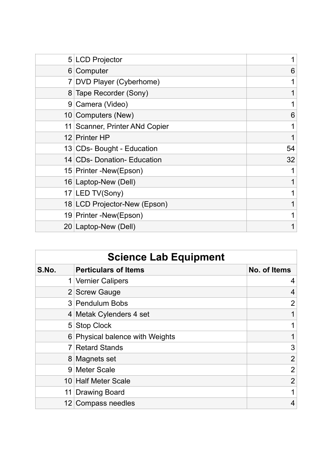|                | 5 LCD Projector                |    |
|----------------|--------------------------------|----|
|                | 6 Computer                     | 6  |
|                | DVD Player (Cyberhome)         |    |
|                | 8 Tape Recorder (Sony)         |    |
| 9 <sup>°</sup> | Camera (Video)                 |    |
|                | 10 Computers (New)             | 6  |
|                | 11 Scanner, Printer ANd Copier |    |
|                | 12 Printer HP                  |    |
|                | 13 CDs- Bought - Education     | 54 |
|                | 14 CDs- Donation- Education    | 32 |
|                | 15 Printer - New (Epson)       |    |
|                | 16 Laptop-New (Dell)           |    |
|                | 17 LED TV(Sony)                |    |
|                | 18 LCD Projector-New (Epson)   |    |
|                | 19 Printer - New (Epson)       |    |
|                | 20 Laptop-New (Dell)           |    |

| <b>Science Lab Equipment</b> |                                 |                |
|------------------------------|---------------------------------|----------------|
| S.No.                        | <b>Perticulars of Items</b>     | No. of Items   |
|                              | 1 Vernier Calipers              | 4              |
|                              | 2 Screw Gauge                   | 4              |
|                              | 3 Pendulum Bobs                 | 2              |
|                              | 4 Metak Cylenders 4 set         |                |
|                              | 5 Stop Clock                    |                |
|                              | 6 Physical balence with Weights |                |
|                              | 7 Retard Stands                 | 3              |
|                              | 8 Magnets set                   | $\overline{2}$ |
|                              | 9 Meter Scale                   | $\overline{2}$ |
|                              | 10 Half Meter Scale             | $\overline{2}$ |
|                              | 11 Drawing Board                |                |
| 12 <sub>1</sub>              | <b>Compass needles</b>          | 4              |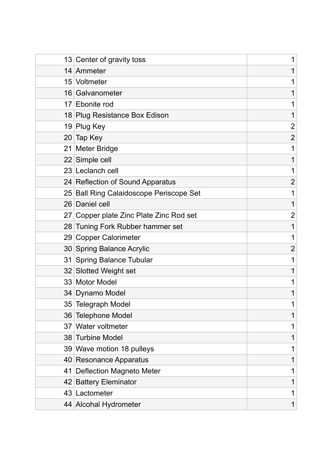|                 | 13 Center of gravity toss               | 1              |
|-----------------|-----------------------------------------|----------------|
|                 | 14 Ammeter                              |                |
|                 | 15 Voltmeter                            | 1              |
|                 | 16 Galvanometer                         | 1              |
| 17 <sup>1</sup> | <b>Ebonite rod</b>                      |                |
|                 | 18 Plug Resistance Box Edison           | 1              |
|                 | 19 Plug Key                             | $\overline{2}$ |
|                 | 20 Tap Key                              | $\overline{2}$ |
|                 | 21 Meter Bridge                         | 1              |
|                 | 22 Simple cell                          | 1              |
|                 | 23 Leclanch cell                        | 1              |
|                 | 24 Reflection of Sound Apparatus        | $\overline{2}$ |
|                 | 25 Ball Ring Calaidoscope Periscope Set | 1              |
|                 | 26 Daniel cell                          | 1              |
|                 | 27 Copper plate Zinc Plate Zinc Rod set | 2              |
|                 | 28 Tuning Fork Rubber hammer set        | 1              |
|                 | 29 Copper Calorimeter                   | 1              |
|                 | 30 Spring Balance Acrylic               | 2              |
|                 | 31 Spring Balance Tubular               | 1              |
|                 | 32 Slotted Weight set                   | 1              |
|                 | 33 Motor Model                          | 1              |
|                 | 34 Dynamo Model                         | 1              |
|                 | 35 Telegraph Model                      |                |
|                 | 36 Telephone Model                      | 1              |
|                 | 37 Water voltmeter                      | 1              |
|                 | 38 Turbine Model                        | 1              |
|                 | 39 Wave motion 18 pulleys               | 1              |
|                 | 40 Resonance Apparatus                  | 1              |
| 41              | <b>Deflection Magneto Meter</b>         | 1              |
|                 | 42 Battery Eleminator                   | 1              |
|                 | 43 Lactometer                           |                |
|                 | 44 Alcohal Hydrometer                   | 1              |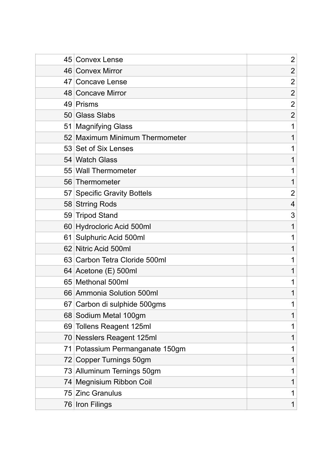| 45 | <b>Convex Lense</b>             | $\overline{2}$ |
|----|---------------------------------|----------------|
|    | 46 Convex Mirror                | $\overline{2}$ |
|    | 47 Concave Lense                | $\overline{2}$ |
|    | 48 Concave Mirror               | $\overline{2}$ |
|    | 49 Prisms                       | $\overline{2}$ |
|    | 50 Glass Slabs                  | $\overline{2}$ |
|    | 51 Magnifying Glass             |                |
|    | 52 Maximum Minimum Thermometer  |                |
|    | 53 Set of Six Lenses            |                |
|    | 54 Watch Glass                  |                |
|    | 55 Wall Thermometer             |                |
|    | 56 Thermometer                  | 1              |
|    | 57 Specific Gravity Bottels     | $\overline{2}$ |
|    | 58 Strring Rods                 | 4              |
|    | 59 Tripod Stand                 | 3              |
|    | 60 Hydrocloric Acid 500ml       |                |
|    | 61 Sulphuric Acid 500ml         |                |
|    | 62 Nitric Acid 500ml            |                |
|    | 63 Carbon Tetra Cloride 500ml   |                |
|    | 64 Acetone (E) 500ml            |                |
|    | 65 Methonal 500ml               |                |
|    | 66 Ammonia Solution 500ml       |                |
|    | 67 Carbon di sulphide 500gms    |                |
|    | 68 Sodium Metal 100gm           |                |
|    | 69 Tollens Reagent 125ml        |                |
|    | 70 Nesslers Reagent 125ml       |                |
|    | 71 Potassium Permanganate 150gm |                |
|    | 72 Copper Turnings 50gm         |                |
|    | 73 Alluminum Ternings 50gm      |                |
|    | 74 Megnisium Ribbon Coil        |                |
|    | 75 Zinc Granulus                |                |
|    | 76 Iron Filings                 |                |